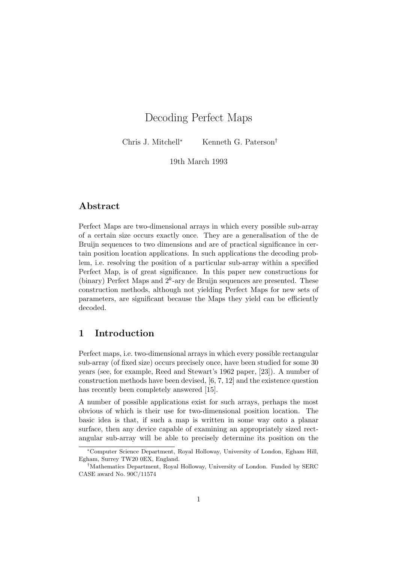# Decoding Perfect Maps

Chris J. Mitchell*<sup>∗</sup>* Kenneth G. Paterson*†*

19th March 1993

# **Abstract**

Perfect Maps are two-dimensional arrays in which every possible sub-array of a certain size occurs exactly once. They are a generalisation of the de Bruijn sequences to two dimensions and are of practical significance in certain position location applications. In such applications the decoding problem, i.e. resolving the position of a particular sub-array within a specified Perfect Map, is of great significance. In this paper new constructions for (binary) Perfect Maps and  $2^k$ -ary de Bruijn sequences are presented. These construction methods, although not yielding Perfect Maps for new sets of parameters, are significant because the Maps they yield can be efficiently decoded.

# **1 Introduction**

Perfect maps, i.e. two-dimensional arrays in which every possible rectangular sub-array (of fixed size) occurs precisely once, have been studied for some 30 years (see, for example, Reed and Stewart's 1962 paper, [23]). A number of construction methods have been devised, [6, 7, 12] and the existence question has recently been completely answered  $[15]$ .

A number of possible applications exist for such arrays, perhaps the most obvious of which is their use for two-dimensional position location. The basic idea is that, if such a map is written in some way onto a planar surface, then any device capable of examining an appropriately sized rectangular sub-array will be able to precisely determine its position on the

*<sup>∗</sup>*Computer Science Department, Royal Holloway, University of London, Egham Hill, Egham, Surrey TW20 0EX, England.

*<sup>†</sup>*Mathematics Department, Royal Holloway, University of London. Funded by SERC CASE award No. 90C/11574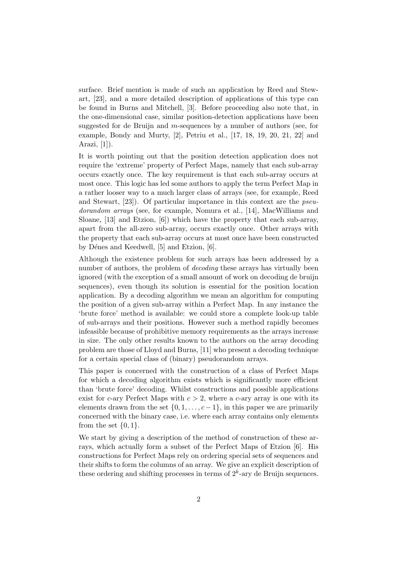surface. Brief mention is made of such an application by Reed and Stewart, [23], and a more detailed description of applications of this type can be found in Burns and Mitchell, [3]. Before proceeding also note that, in the one-dimensional case, similar position-detection applications have been suggested for de Bruijn and *m*-sequences by a number of authors (see, for example, Bondy and Murty, [2], Petriu et al., [17, 18, 19, 20, 21, 22] and Arazi, [1]).

It is worth pointing out that the position detection application does not require the 'extreme' property of Perfect Maps, namely that each sub-array occurs exactly once. The key requirement is that each sub-array occurs at most once. This logic has led some authors to apply the term Perfect Map in a rather looser way to a much larger class of arrays (see, for example, Reed and Stewart, [23]). Of particular importance in this context are the *pseudorandom arrays* (see, for example, Nomura et al., [14], MacWilliams and Sloane, [13] and Etzion, [6]) which have the property that each sub-array, apart from the all-zero sub-array, occurs exactly once. Other arrays with the property that each sub-array occurs at most once have been constructed by Dénes and Keedwell, [5] and Etzion, [6].

Although the existence problem for such arrays has been addressed by a number of authors, the problem of *decoding* these arrays has virtually been ignored (with the exception of a small amount of work on decoding de bruijn sequences), even though its solution is essential for the position location application. By a decoding algorithm we mean an algorithm for computing the position of a given sub-array within a Perfect Map. In any instance the 'brute force' method is available: we could store a complete look-up table of sub-arrays and their positions. However such a method rapidly becomes infeasible because of prohibitive memory requirements as the arrays increase in size. The only other results known to the authors on the array decoding problem are those of Lloyd and Burns, [11] who present a decoding technique for a certain special class of (binary) pseudorandom arrays.

This paper is concerned with the construction of a class of Perfect Maps for which a decoding algorithm exists which is significantly more efficient than 'brute force' decoding. Whilst constructions and possible applications exist for *c*-ary Perfect Maps with  $c > 2$ , where a *c*-ary array is one with its elements drawn from the set  $\{0, 1, \ldots, c-1\}$ , in this paper we are primarily concerned with the binary case, i.e. where each array contains only elements from the set  $\{0,1\}$ .

We start by giving a description of the method of construction of these arrays, which actually form a subset of the Perfect Maps of Etzion [6]. His constructions for Perfect Maps rely on ordering special sets of sequences and their shifts to form the columns of an array. We give an explicit description of these ordering and shifting processes in terms of  $2^k$ -ary de Bruijn sequences.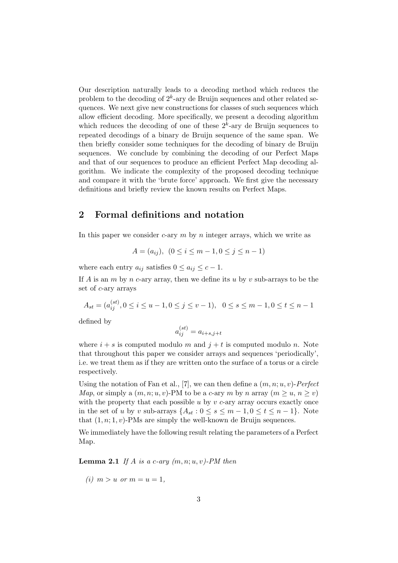Our description naturally leads to a decoding method which reduces the problem to the decoding of 2*<sup>k</sup>* -ary de Bruijn sequences and other related sequences. We next give new constructions for classes of such sequences which allow efficient decoding. More specifically, we present a decoding algorithm which reduces the decoding of one of these  $2^k$ -ary de Bruijn sequences to repeated decodings of a binary de Bruijn sequence of the same span. We then briefly consider some techniques for the decoding of binary de Bruijn sequences. We conclude by combining the decoding of our Perfect Maps and that of our sequences to produce an efficient Perfect Map decoding algorithm. We indicate the complexity of the proposed decoding technique and compare it with the 'brute force' approach. We first give the necessary definitions and briefly review the known results on Perfect Maps.

### **2 Formal definitions and notation**

In this paper we consider *c*-ary *m* by *n* integer arrays, which we write as

$$
A = (a_{ij}), (0 \le i \le m - 1, 0 \le j \le n - 1)
$$

where each entry  $a_{ij}$  satisfies  $0 \leq a_{ij} \leq c - 1$ .

If *A* is an *m* by *n c*-ary array, then we define its *u* by *v* sub-arrays to be the set of *c*-ary arrays

$$
A_{st} = (a_{ij}^{(st)}, 0 \le i \le u - 1, 0 \le j \le v - 1), \quad 0 \le s \le m - 1, 0 \le t \le n - 1
$$

defined by

$$
a_{ij}^{(st)} = a_{i+s,j+t}
$$

*a*

where  $i + s$  is computed modulo *m* and  $j + t$  is computed modulo *n*. Note that throughout this paper we consider arrays and sequences 'periodically', i.e. we treat them as if they are written onto the surface of a torus or a circle respectively.

Using the notation of Fan et al., [7], we can then define a (*m, n*; *u, v*)-*Perfect Map*, or simply a  $(m, n; u, v)$ -PM to be a *c*-ary *m* by *n* array  $(m \ge u, n \ge v)$ with the property that each possible *u* by *v c*-ary array occurs exactly once in the set of *u* by *v* sub-arrays  $\{A_{st}: 0 \le s \le m-1, 0 \le t \le n-1\}$ . Note that  $(1, n; 1, v)$ -PMs are simply the well-known de Bruijn sequences.

We immediately have the following result relating the parameters of a Perfect Map.

**Lemma 2.1** *If A is a c-ary*  $(m, n; u, v)$ -PM then

*(i)*  $m > u$  *or*  $m = u = 1$ ,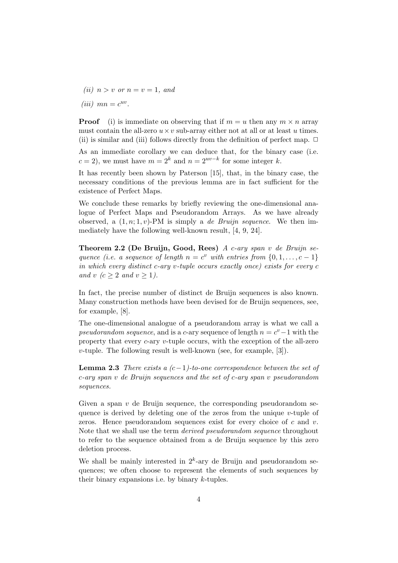*(ii)*  $n > v$  *or*  $n = v = 1$ *, and* 

 $(iii)$   $mn = c^{uv}$ .

**Proof** (i) is immediate on observing that if  $m = u$  then any  $m \times n$  array must contain the all-zero  $u \times v$  sub-array either not at all or at least  $u$  times. (ii) is similar and (iii) follows directly from the definition of perfect map.  $\Box$ 

As an immediate corollary we can deduce that, for the binary case (i.e.  $c = 2$ , we must have  $m = 2<sup>k</sup>$  and  $n = 2<sup>uv−k</sup>$  for some integer  $k$ .

It has recently been shown by Paterson [15], that, in the binary case, the necessary conditions of the previous lemma are in fact sufficient for the existence of Perfect Maps.

We conclude these remarks by briefly reviewing the one-dimensional analogue of Perfect Maps and Pseudorandom Arrays. As we have already observed, a  $(1, n; 1, v)$ -PM is simply a *de Bruijn sequence*. We then immediately have the following well-known result, [4, 9, 24].

**Theorem 2.2 (De Bruijn, Good, Rees)** *A c-ary span v de Bruijn sequence* (*i.e. a sequence of length*  $n = c^v$  *with entries from*  $\{0, 1, \ldots, c - 1\}$ *in which every distinct c-ary v-tuple occurs exactly once) exists for every c and*  $v (c > 2 and v > 1)$ .

In fact, the precise number of distinct de Bruijn sequences is also known. Many construction methods have been devised for de Bruijn sequences, see, for example, [8].

The one-dimensional analogue of a pseudorandom array is what we call a *pseudorandom sequence*, and is a *c*-ary sequence of length  $n = c^v - 1$  with the property that every *c*-ary *v*-tuple occurs, with the exception of the all-zero *v*-tuple. The following result is well-known (see, for example, [3]).

**Lemma 2.3** *There exists a (c−*1*)-to-one correspondence between the set of c-ary span v de Bruijn sequences and the set of c-ary span v pseudorandom sequences.*

Given a span *v* de Bruijn sequence, the corresponding pseudorandom sequence is derived by deleting one of the zeros from the unique *v*-tuple of zeros. Hence pseudorandom sequences exist for every choice of *c* and *v*. Note that we shall use the term *derived pseudorandom sequence* throughout to refer to the sequence obtained from a de Bruijn sequence by this zero deletion process.

We shall be mainly interested in  $2^k$ -ary de Bruijn and pseudorandom sequences; we often choose to represent the elements of such sequences by their binary expansions i.e. by binary *k*-tuples.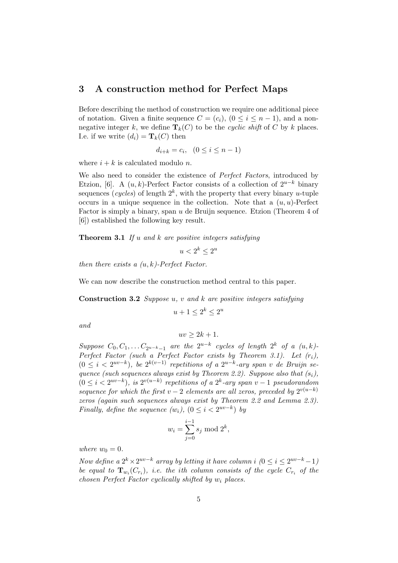### **3 A construction method for Perfect Maps**

Before describing the method of construction we require one additional piece of notation. Given a finite sequence  $C = (c_i)$ ,  $(0 \le i \le n-1)$ , and a nonnegative integer *k*, we define  $\mathbf{T}_k(C)$  to be the *cyclic shift* of *C* by *k* places. I.e. if we write  $(d_i) = \mathbf{T}_k(C)$  then

$$
d_{i+k} = c_i, \quad (0 \le i \le n-1)
$$

where  $i + k$  is calculated modulo *n*.

We also need to consider the existence of *Perfect Factors*, introduced by Etzion, [6]. A  $(u, k)$ -Perfect Factor consists of a collection of  $2^{u-k}$  binary sequences (*cycles*) of length 2*<sup>k</sup>* , with the property that every binary *u*-tuple occurs in a unique sequence in the collection. Note that a  $(u, u)$ -Perfect Factor is simply a binary, span *u* de Bruijn sequence. Etzion (Theorem 4 of [6]) established the following key result.

**Theorem 3.1** *If u and k are positive integers satisfying*

 $u < 2^k \leq 2^u$ 

*then there exists a (u, k)-Perfect Factor.*

We can now describe the construction method central to this paper.

**Construction 3.2** *Suppose u, v and k are positive integers satisfying*

 $u + 1 \leq 2^k \leq 2^u$ 

*and*

$$
uv \ge 2k + 1.
$$

*Suppose*  $C_0, C_1, \ldots C_{2^{u-k}-1}$  *are the*  $2^{u-k}$  *cycles of length*  $2^k$  *of a*  $(u, k)$ *-Perfect Factor (such a Perfect Factor exists by Theorem 3.1). Let (ri),*  $(0 \leq i < 2^{uv-k})$ , be  $2^{k(v-1)}$  repetitions of a  $2^{u-k}$ -ary span *v* de Bruijn se*quence (such sequences always exist by Theorem 2.2). Suppose also that (si),*  $(0 \leq i < 2^{uv-k})$ , is  $2^{v(u-k)}$  repetitions of a  $2^k$ -ary span  $v-1$  pseudorandom *sequence for which the first*  $v - 2$  *elements are all zeros, preceded by*  $2^{v(u-k)}$ *zeros (again such sequences always exist by Theorem 2.2 and Lemma 2.3). Finally, define the sequence*  $(w_i)$ ,  $(0 \leq i < 2^{uv-k})$  *by* 

$$
w_i = \sum_{j=0}^{i-1} s_j \bmod 2^k,
$$

*where*  $w_0 = 0$ *.* 

*Now define a*  $2^k \times 2^{uv-k}$  *array by letting it have column i*  $(0 \le i \le 2^{uv-k}-1)$ *be equal to*  $\mathbf{T}_{w_i}(C_{r_i})$ , *i.e. the ith column consists of the cycle*  $C_{r_i}$  *of the chosen Perfect Factor cyclically shifted by w<sup>i</sup> places.*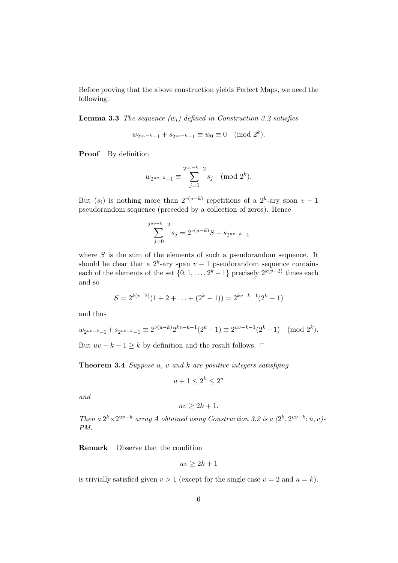Before proving that the above construction yields Perfect Maps, we need the following.

**Lemma 3.3** *The sequence (wi) defined in Construction 3.2 satisfies*

$$
w_{2^{uv-k}-1} + s_{2^{uv-k}-1} \equiv w_0 \equiv 0 \pmod{2^k}.
$$

**Proof** By definition

$$
w_{2^{uv-k}-1} \equiv \sum_{j=0}^{2^{uv-k}-2} s_j \pmod{2^k}.
$$

But  $(s_i)$  is nothing more than  $2^{v(u-k)}$  repetitions of a  $2^k$ -ary span  $v-1$ pseudorandom sequence (preceded by a collection of zeros). Hence

$$
\sum_{j=0}^{2^{uv-k}-2} s_j = 2^{v(u-k)}S - s_{2^{uv-k}-1}
$$

where  $S$  is the sum of the elements of such a pseudorandom sequence. It should be clear that a  $2^k$ -ary span  $v-1$  pseudorandom sequence contains each of the elements of the set  $\{0, 1, \ldots, 2^k - 1\}$  precisely  $2^{k(v-2)}$  times each and so

$$
S = 2^{k(v-2)}(1+2+\ldots+(2^k-1)) = 2^{kv-k-1}(2^k-1)
$$

and thus

$$
w_{2^{uv-k}-1} + s_{2^{uv-k}-1} \equiv 2^{v(u-k)} 2^{kv-k-1} (2^k - 1) \equiv 2^{uv-k-1} (2^k - 1) \pmod{2^k}.
$$

But  $uv - k - 1 \geq k$  by definition and the result follows.  $\Box$ 

**Theorem 3.4** *Suppose u, v and k are positive integers satisfying*

$$
u+1 \le 2^k \le 2^u
$$

*and*

$$
uv \ge 2k + 1.
$$

*Then a*  $2^k \times 2^{uv-k}$  *array A obtained using Construction 3.2 is a*  $(2^k, 2^{uv-k}; u, v)$ *PM.*

**Remark** Observe that the condition

$$
uv \ge 2k + 1
$$

is trivially satisfied given  $v > 1$  (except for the single case  $v = 2$  and  $u = k$ ).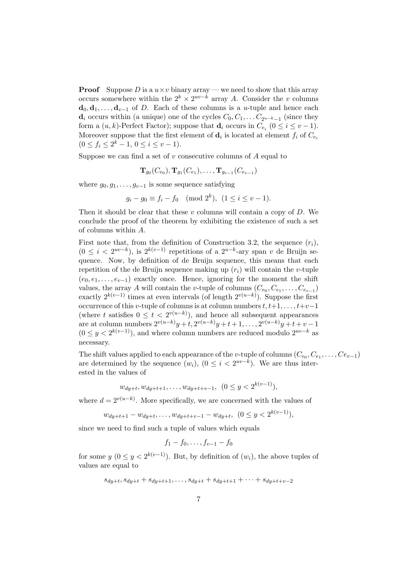**Proof** Suppose *D* is a  $u \times v$  binary array — we need to show that this array occurs somewhere within the  $2^k \times 2^{uv-k}$  array *A*. Consider the *v* columns  $\mathbf{d}_0, \mathbf{d}_1, \ldots, \mathbf{d}_{v-1}$  of *D*. Each of these columns is a *u*-tuple and hence each **d**<sub>*i*</sub> occurs within (a unique) one of the cycles  $C_0, C_1, \ldots C_{2^{u-k}-1}$  (since they form a  $(u, k)$ -Perfect Factor); suppose that  $\mathbf{d}_i$  occurs in  $C_{e_i}$   $(0 \leq i \leq v-1)$ . Moreover suppose that the first element of  $\mathbf{d}_i$  is located at element  $f_i$  of  $C_{e_i}$  $(0 \le f_i \le 2^k - 1, 0 \le i \le v - 1).$ 

Suppose we can find a set of *v* consecutive columns of *A* equal to

$$
\mathbf{T}_{g_0}(C_{e_0}), \mathbf{T}_{g_1}(C_{e_1}), \ldots, \mathbf{T}_{g_{v-1}}(C_{e_{v-1}})
$$

where  $g_0, g_1, \ldots, g_{v-1}$  is some sequence satisfying

$$
g_i - g_0 \equiv f_i - f_0 \pmod{2^k}, \ (1 \le i \le v - 1).
$$

Then it should be clear that these *v* columns will contain a copy of *D*. We conclude the proof of the theorem by exhibiting the existence of such a set of columns within *A*.

First note that, from the definition of Construction 3.2, the sequence  $(r_i)$ ,  $(0 \leq i < 2^{uv-k})$ , is  $2^{k(v-1)}$  repetitions of a  $2^{u-k}$ -ary span *v* de Bruijn sequence. Now, by definition of de Bruijn sequence, this means that each repetition of the de Bruijn sequence making up  $(r_i)$  will contain the *v*-tuple  $(e_0, e_1, \ldots, e_{v-1})$  exactly once. Hence, ignoring for the moment the shift values, the array *A* will contain the *v*-tuple of columns  $(C_{e_0}, C_{e_1}, \ldots, C_{e_{v-1}})$ exactly  $2^{k(v-1)}$  times at even intervals (of length  $2^{v(u-k)}$ ). Suppose the first occurrence of this *v*-tuple of columns is at column numbers *t, t*+1*, . . . , t*+*v−*1 (where *t* satisfies  $0 \le t < 2^{v(u-k)}$ ), and hence all subsequent appearances are at column numbers  $2^{v(u-k)}y + t$ ,  $2^{v(u-k)}y + t + 1, \ldots, 2^{v(u-k)}y + t + v - 1$  $(0 \leq y < 2^{k(v-1)})$ , and where column numbers are reduced modulo  $2^{uv-k}$  as necessary.

The shift values applied to each appearance of the *v*-tuple of columns  $(C_{e_0}, C_{e_1}, \ldots, C_{e_{v-1}})$ are determined by the sequence  $(w_i)$ ,  $(0 \leq i < 2^{uv-k})$ . We are thus interested in the values of

$$
w_{dy+t}, w_{dy+t+1}, \ldots, w_{dy+t+v-1}, \ (0 \le y < 2^{k(v-1)}),
$$

where  $d = 2^{v(u-k)}$ . More specifically, we are concerned with the values of

$$
w_{dy+t+1} - w_{dy+t}, \dots, w_{dy+t+v-1} - w_{dy+t}, \ (0 \le y < 2^{k(v-1)}),
$$

since we need to find such a tuple of values which equals

$$
f_1 - f_0, \ldots, f_{v-1} - f_0
$$

for some  $y \ (0 \leq y < 2^{k(v-1)})$ . But, by definition of  $(w_i)$ , the above tuples of values are equal to

$$
s_{dy+t}, s_{dy+t} + s_{dy+t+1}, \ldots, s_{dy+t} + s_{dy+t+1} + \cdots + s_{dy+t+v-2}
$$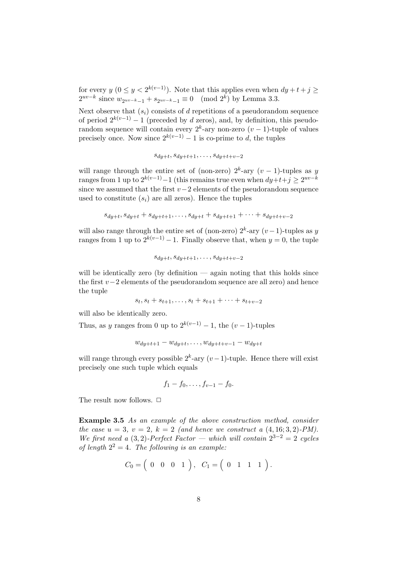for every  $y \ (0 \leq y < 2^{k(v-1)})$ . Note that this applies even when  $dy + t + j \geq 0$ 2<sup>*uv*−*k*</sub> since  $w_{2^{uv-k}-1} + s_{2^{uv-k}-1} \equiv 0 \pmod{2^k}$  by Lemma 3.3.</sup>

Next observe that  $(s_i)$  consists of *d* repetitions of a pseudorandom sequence of period  $2^{k(v-1)} - 1$  (preceded by *d* zeros), and, by definition, this pseudorandom sequence will contain every  $2^k$ -ary non-zero  $(v-1)$ -tuple of values precisely once. Now since  $2^{k(v-1)} - 1$  is co-prime to *d*, the tuples

*sdy*+*<sup>t</sup> , sdy*+*t*+1*, . . . , sdy*+*t*+*v−*<sup>2</sup>

will range through the entire set of (non-zero)  $2^k$ -ary  $(v-1)$ -tuples as *y*  $r$  ranges from 1 up to  $2^{k(v-1)} - 1$  (this remains true even when  $dy+t+j \geq 2^{uv-k}$ since we assumed that the first *v*<sup>−2</sup> elements of the pseudorandom sequence used to constitute  $(s_i)$  are all zeros). Hence the tuples

$$
s_{dy+t}, s_{dy+t} + s_{dy+t+1}, \ldots, s_{dy+t} + s_{dy+t+1} + \cdots + s_{dy+t+v-2}
$$

will also range through the entire set of (non-zero)  $2^k$ -ary  $(v-1)$ -tuples as *y* ranges from 1 up to  $2^{k(v-1)} - 1$ . Finally observe that, when  $y = 0$ , the tuple

$$
s_{dy+t}, s_{dy+t+1}, \ldots, s_{dy+t+v-2}
$$

will be identically zero (by definition — again noting that this holds since the first *v−*2 elements of the pseudorandom sequence are all zero) and hence the tuple

$$
s_t, s_t + s_{t+1}, \ldots, s_t + s_{t+1} + \cdots + s_{t+v-2}
$$

will also be identically zero.

Thus, as *y* ranges from 0 up to  $2^{k(v-1)} - 1$ , the  $(v-1)$ -tuples

$$
w_{dy+t+1} - w_{dy+t}, \ldots, w_{dy+t+v-1} - w_{dy+t}
$$

will range through every possible  $2^k$ -ary  $(v-1)$ -tuple. Hence there will exist precisely one such tuple which equals

$$
f_1 - f_0, \ldots, f_{v-1} - f_0.
$$

The result now follows.  $\Box$ 

**Example 3.5** *As an example of the above construction method, consider the case*  $u = 3$ ,  $v = 2$ ,  $k = 2$  *(and hence we construct a (4, 16; 3, 2)-PM). We first need a*  $(3,2)$ *-Perfect Factor — which will contain*  $2^{3-2} = 2$  *cycles of length*  $2^2 = 4$ *. The following is an example:* 

$$
C_0 = \left( \begin{array}{cccc} 0 & 0 & 0 & 1 \end{array} \right), \quad C_1 = \left( \begin{array}{cccc} 0 & 1 & 1 & 1 \end{array} \right).
$$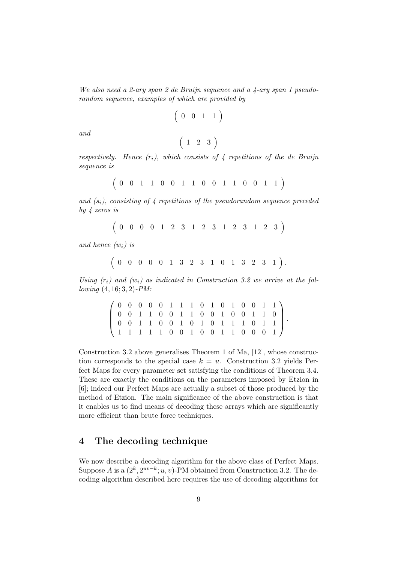*We also need a 2-ary span 2 de Bruijn sequence and a 4-ary span 1 pseudorandom sequence, examples of which are provided by*

$$
\left(\begin{array}{cccc}0&0&1&1\end{array}\right)
$$

*and*

$$
\left(\begin{array}{ccc}1&2&3\end{array}\right)
$$

*respectively. Hence*  $(r_i)$ , which consists of 4 repetitions of the de Bruijn *sequence is*

( 0 0 1 1 0 0 1 1 0 0 1 1 0 0 1 1 )

*and (si), consisting of 4 repetitions of the pseudorandom sequence preceded by 4 zeros is*

( 0 0 0 0 1 2 3 1 2 3 1 2 3 1 2 3 )

*and hence (wi) is*

$$
(0 \t 0 \t 0 \t 0 \t 0 \t 1 \t 3 \t 2 \t 3 \t 1 \t 0 \t 1 \t 3 \t 2 \t 3 \t 1).
$$

Using  $(r_i)$  and  $(w_i)$  as indicated in Construction 3.2 we arrive at the fol*lowing* (4*,* 16; 3*,* 2)*-PM:*

> $\sqrt{ }$  $\overline{\phantom{a}}$ 0 0 0 0 0 1 1 1 0 1 0 1 0 0 1 1 0 0 1 1 0 0 1 1 0 0 1 0 0 1 1 0 0 0 1 1 0 0 1 0 1 0 1 1 1 0 1 1 1 1 1 1 1 0 0 1 0 0 1 1 0 0 0 1  $\setminus$ *.*

Construction 3.2 above generalises Theorem 1 of Ma, [12], whose construction corresponds to the special case  $k = u$ . Construction 3.2 yields Perfect Maps for every parameter set satisfying the conditions of Theorem 3.4. These are exactly the conditions on the parameters imposed by Etzion in [6]; indeed our Perfect Maps are actually a subset of those produced by the method of Etzion. The main significance of the above construction is that it enables us to find means of decoding these arrays which are significantly more efficient than brute force techniques.

# **4 The decoding technique**

We now describe a decoding algorithm for the above class of Perfect Maps. Suppose *A* is a  $(2^k, 2^{uv-k}; u, v)$ -PM obtained from Construction 3.2. The decoding algorithm described here requires the use of decoding algorithms for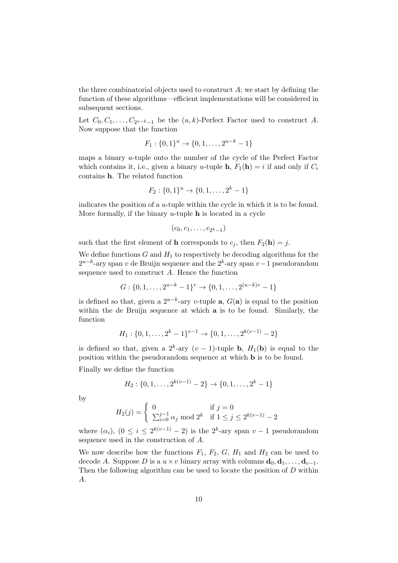the three combinatorial objects used to construct *A*; we start by defining the function of these algorithms—efficient implementations will be considered in subsequent sections.

Let  $C_0, C_1, \ldots, C_{2^{u-k}-1}$  be the  $(u, k)$ -Perfect Factor used to construct *A*. Now suppose that the function

$$
F_1: \{0,1\}^u \to \{0,1,\ldots,2^{u-k}-1\}
$$

maps a binary *u*-tuple onto the number of the cycle of the Perfect Factor which contains it, i.e., given a binary *u*-tuple **h**,  $F_1(\mathbf{h}) = i$  if and only if  $C_i$ contains **h**. The related function

$$
F_2: \{0,1\}^u \to \{0,1,\ldots,2^k-1\}
$$

indicates the position of a *u*-tuple within the cycle in which it is to be found. More formally, if the binary *u*-tuple **h** is located in a cycle

$$
(c_0,c_1,\ldots,c_{2^k-1})
$$

such that the first element of **h** corresponds to  $c_j$ , then  $F_2(\mathbf{h}) = j$ .

We define functions  $G$  and  $H_1$  to respectively be decoding algorithms for the 2 *u−k* -ary span *v* de Bruijn sequence and the 2*<sup>k</sup>* -ary span *v−*1 pseudorandom sequence used to construct *A*. Hence the function

$$
G: \{0, 1, \ldots, 2^{u-k} - 1\}^v \to \{0, 1, \ldots, 2^{(u-k)v} - 1\}
$$

is defined so that, given a 2*u−<sup>k</sup>* -ary *v*-tuple **a**, *G*(**a**) is equal to the position within the de Bruijn sequence at which **a** is to be found. Similarly, the function

$$
H_1: \{0, 1, \ldots, 2^k - 1\}^{v-1} \to \{0, 1, \ldots, 2^{k(v-1)} - 2\}
$$

is defined so that, given a  $2^k$ -ary  $(v-1)$ -tuple **b**,  $H_1(\mathbf{b})$  is equal to the position within the pseudorandom sequence at which **b** is to be found.

Finally we define the function

$$
H_2: \{0, 1, \ldots, 2^{k(v-1)} - 2\} \to \{0, 1, \ldots, 2^k - 1\}
$$

by

$$
H_2(j) = \begin{cases} 0 & \text{if } j = 0\\ \sum_{i=0}^{j-1} \alpha_j \bmod 2^k & \text{if } 1 \le j \le 2^{k(v-1)} - 2 \end{cases}
$$

where  $(\alpha_i)$ ,  $(0 \leq i \leq 2^{k(v-1)} - 2)$  is the 2<sup>k</sup>-ary span  $v-1$  pseudorandom sequence used in the construction of *A*.

We now describe how the functions  $F_1$ ,  $F_2$ ,  $G$ ,  $H_1$  and  $H_2$  can be used to decode *A*. Suppose *D* is a  $u \times v$  binary array with columns  $\mathbf{d}_0, \mathbf{d}_1, \ldots, \mathbf{d}_{v-1}$ . Then the following algorithm can be used to locate the position of *D* within *A*.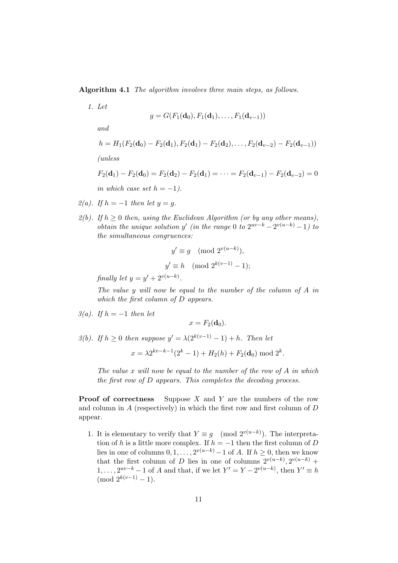**Algorithm 4.1** *The algorithm involves three main steps, as follows.*

*1. Let*

$$
g=G(F_1(\mathbf{d}_0), F_1(\mathbf{d}_1), \ldots, F_1(\mathbf{d}_{v-1}))
$$

*and*

$$
h = H_1(F_2(\mathbf{d}_0) - F_2(\mathbf{d}_1), F_2(\mathbf{d}_1) - F_2(\mathbf{d}_2), \dots, F_2(\mathbf{d}_{v-2}) - F_2(\mathbf{d}_{v-1}))
$$

*(unless*

$$
F_2(\mathbf{d}_1) - F_2(\mathbf{d}_0) = F_2(\mathbf{d}_2) - F_2(\mathbf{d}_1) = \cdots = F_2(\mathbf{d}_{v-1}) - F_2(\mathbf{d}_{v-2}) = 0
$$

*in which case set*  $h = -1$ *)*.

- $2(a)$ *. If*  $h = -1$  *then let*  $y = g$ *.*
- *2(b). If*  $h \geq 0$  *then, using the Euclidean Algorithm (or by any other means)*, *obtain the unique solution*  $y'$  (*in the range* 0 *to*  $2^{uv-k} - 2^{v(u-k)} - 1$ ) to *the simultaneous congruences:*

$$
y' \equiv g \pmod{2^{v(u-k)}},
$$
  

$$
y' \equiv h \pmod{2^{k(v-1)}-1};
$$

*finally let*  $y = y' + 2^{v(u-k)}$ .

*The value y will now be equal to the number of the column of A in which the first column of D appears.*

$$
3(a). \text{ If } h = -1 \text{ then let}
$$

$$
x=F_2(\mathbf{d}_0).
$$

*3(b). If*  $h \geq 0$  *then suppose*  $y' = \lambda(2^{k(v-1)} - 1) + h$ *. Then let* 

$$
x = \lambda 2^{kv - k - 1} (2^k - 1) + H_2(h) + F_2(\mathbf{d}_0) \bmod 2^k.
$$

*The value x will now be equal to the number of the row of A in which the first row of D appears. This completes the decoding process.*

**Proof of correctness** Suppose *X* and *Y* are the numbers of the row and column in *A* (respectively) in which the first row and first column of *D* appear.

1. It is elementary to verify that  $Y \equiv g \pmod{2^{\nu(u-k)}}$ . The interpretation of *h* is a little more complex. If  $h = -1$  then the first column of *D* lies in one of columns  $0, 1, \ldots, 2^{v(u-k)} - 1$  of *A*. If  $h \geq 0$ , then we know that the first column of *D* lies in one of columns  $2^{v(u-k)}$ ,  $2^{v(u-k)}$  + 1,...,  $2^{uv-k} - 1$  of *A* and that, if we let  $Y' = Y - 2^{v(u-k)}$ , then  $Y' \equiv h$  $\pmod{2^{k(v-1)}-1}$ .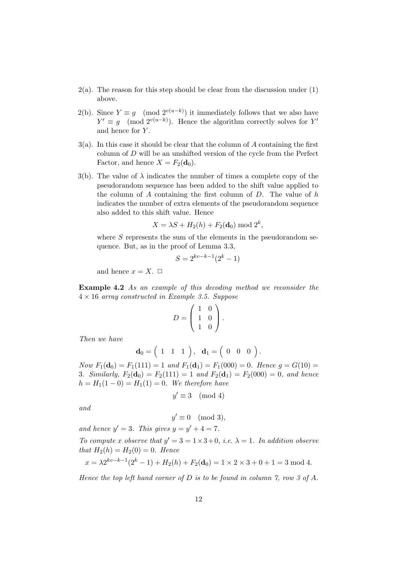- 2(a). The reason for this step should be clear from the discussion under (1) above.
- 2(b). Since  $Y \equiv g \pmod{2^{v(u-k)}}$  it immediately follows that we also have  $Y' \equiv g \pmod{2^{v(u-k)}}$ . Hence the algorithm correctly solves for *Y* and hence for *Y* .
- 3(a). In this case it should be clear that the column of *A* containing the first column of *D* will be an unshifted version of the cycle from the Perfect Factor, and hence  $X = F_2(\mathbf{d}_0)$ .
- $3(b)$ . The value of  $\lambda$  indicates the number of times a complete copy of the pseudorandom sequence has been added to the shift value applied to the column of *A* containing the first column of *D*. The value of *h* indicates the number of extra elements of the pseudorandom sequence also added to this shift value. Hence

$$
X = \lambda S + H_2(h) + F_2(\mathbf{d}_0) \bmod 2^k,
$$

where *S* represents the sum of the elements in the pseudorandom sequence. But, as in the proof of Lemma 3.3,

$$
S = 2^{kv - k - 1}(2^k - 1)
$$

and hence  $x = X$ .  $\Box$ 

**Example 4.2** *As an example of this decoding method we reconsider the* 4 *×* 16 *array constructed in Example 3.5. Suppose*

$$
D = \left(\begin{array}{cc} 1 & 0 \\ 1 & 0 \\ 1 & 0 \end{array}\right).
$$

*Then we have*

$$
\mathbf{d}_0 = \left(\begin{array}{ccc} 1 & 1 & 1 \end{array}\right), \ \mathbf{d}_1 = \left(\begin{array}{ccc} 0 & 0 & 0 \end{array}\right).
$$

*Now*  $F_1(\mathbf{d}_0) = F_1(111) = 1$  *and*  $F_1(\mathbf{d}_1) = F_1(000) = 0$ *. Hence*  $g = G(10) =$ 3*. Similarly,*  $F_2(\mathbf{d}_0) = F_2(111) = 1$  and  $F_2(\mathbf{d}_1) = F_2(000) = 0$ , and hence  $h = H_1(1-0) = H_1(1) = 0$ *. We therefore have* 

$$
y' \equiv 3 \pmod{4}
$$

*and*

$$
y' \equiv 0 \pmod{3},
$$

*and hence*  $y' = 3$ *. This gives*  $y = y' + 4 = 7$ *.* 

*To compute x observe that*  $y' = 3 = 1 \times 3 + 0$ *, i.e.*  $\lambda = 1$ *. In addition observe that*  $H_2(h) = H_2(0) = 0$ *. Hence* 

$$
x = \lambda 2^{kv - k - 1} (2^k - 1) + H_2(h) + F_2(\mathbf{d}_0) = 1 \times 2 \times 3 + 0 + 1 = 3 \text{ mod } 4.
$$

*Hence the top left hand corner of D is to be found in column 7, row 3 of A.*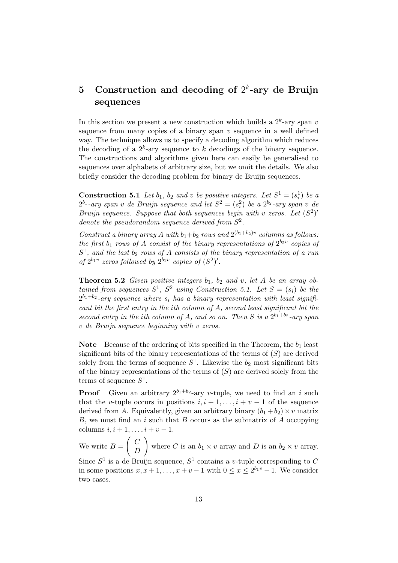# 5 Construction and decoding of  $2^k$ -ary de Bruijn **sequences**

In this section we present a new construction which builds a  $2^k$ -ary span *v* sequence from many copies of a binary span *v* sequence in a well defined way. The technique allows us to specify a decoding algorithm which reduces the decoding of a  $2^k$ -ary sequence to  $k$  decodings of the binary sequence. The constructions and algorithms given here can easily be generalised to sequences over alphabets of arbitrary size, but we omit the details. We also briefly consider the decoding problem for binary de Bruijn sequences.

**Construction 5.1** *Let*  $b_1$ *,*  $b_2$  *and v be positive integers. Let*  $S^1 = (s_i^1)$  *be a*  $2^{b_1}$ *-ary span v de Bruijn sequence and let*  $S^2 = (s_i^2)$  *be a*  $2^{b_2}$ *-ary span v de Bruijn sequence. Suppose that both sequences begin with v zeros.* Let  $(S^2)'$ *denote the pseudorandom sequence derived from S* 2 *.*

Construct a binary array  $A$  with  $b_1+b_2$  rows and  $2^{(b_1+b_2)v}$  columns as follows: *the first*  $b_1$  *rows of A consist of the binary representations of*  $2^{b_2v}$  *copies of S* 1 *, and the last b*<sup>2</sup> *rows of A consists of the binary representation of a run* of  $2^{b_1v}$  zeros followed by  $2^{b_1v}$  copies of  $(S^2)'$ .

**Theorem 5.2** *Given positive integers*  $b_1$ ,  $b_2$  *and*  $v$ , *let*  $A$  *be an array obtained from sequences*  $S^1$ ,  $S^2$  *using Construction 5.1. Let*  $S = (s_i)$  *be the*  $2^{b_1+b_2}$ -ary sequence where  $s_i$  has a binary representation with least signifi*cant bit the first entry in the ith column of A, second least significant bit the second entry in the ith column of A, and so on. Then*  $S$  *is a*  $2^{b_1+b_2}$ -*ary span v de Bruijn sequence beginning with v zeros.*

**Note** Because of the ordering of bits specified in the Theorem, the  $b_1$  least significant bits of the binary representations of the terms of (*S*) are derived solely from the terms of sequence  $S^1$ . Likewise the  $b_2$  most significant bits of the binary representations of the terms of (*S*) are derived solely from the terms of sequence *S* 1 .

**Proof** Given an arbitrary  $2^{b_1+b_2}$ -ary *v*-tuple, we need to find an *i* such that the *v*-tuple occurs in positions  $i, i + 1, \ldots, i + v - 1$  of the sequence derived from *A*. Equivalently, given an arbitrary binary  $(b_1 + b_2) \times v$  matrix *B*, we must find an *i* such that *B* occurs as the submatrix of *A* occupying  $\text{columns } i, i+1, \ldots, i+v-1.$ 

We write  $B =$ ( *C D*  $\setminus$ where *C* is an  $b_1 \times v$  array and *D* is an  $b_2 \times v$  array. Since  $S^1$  is a de Bruijn sequence,  $S^1$  contains a *v*-tuple corresponding to C in some positions  $x, x + 1, \ldots, x + v - 1$  with  $0 ≤ x ≤ 2^{b_1v} - 1$ . We consider two cases.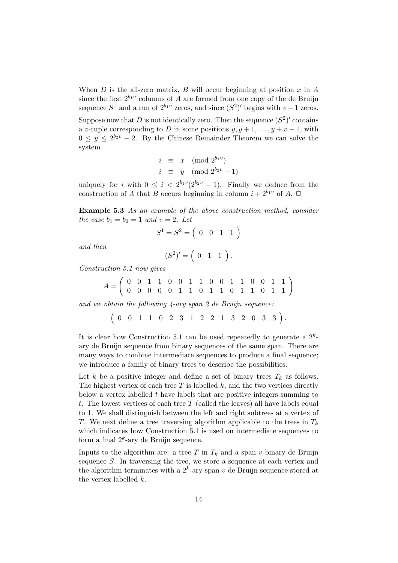When *D* is the all-zero matrix, *B* will occur beginning at position *x* in *A* since the first  $2^{b_1v}$  columns of *A* are formed from one copy of the de Bruijn sequence  $S^1$  and a run of  $2^{b_1v}$  zeros, and since  $(S^2)'$  begins with  $v-1$  zeros.

Suppose now that *D* is not identically zero. Then the sequence  $(S^2)'$  contains a *v*-tuple corresponding to *D* in some positions  $y, y + 1, \ldots, y + v - 1$ , with  $0 \leq y \leq 2^{b_2 v} - 2$ . By the Chinese Remainder Theorem we can solve the system

$$
i \equiv x \pmod{2^{b_1 v}}
$$
  

$$
i \equiv y \pmod{2^{b_2 v} - 1}
$$

uniquely for *i* with  $0 \leq i < 2^{b_1 v} (2^{b_2 v} - 1)$ . Finally we deduce from the construction of *A* that *B* occurs beginning in column  $i + 2^{b_1v}$  of *A*.  $\Box$ 

**Example 5.3** *As an example of the above construction method, consider the case*  $b_1 = b_2 = 1$  *and*  $v = 2$ *. Let* 

$$
S^1 = S^2 = \left( \begin{array}{cccc} 0 & 0 & 1 & 1 \end{array} \right)
$$

*and then*

$$
(S^2)' = \left( \begin{array}{cc} 0 & 1 & 1 \end{array} \right).
$$

*Construction 5.1 now gives*

$$
A = \left(\begin{array}{cccccccccc} 0 & 0 & 1 & 1 & 0 & 0 & 1 & 1 & 0 & 0 & 1 & 1 & 0 & 0 & 1 & 1 \\ 0 & 0 & 0 & 0 & 0 & 1 & 1 & 0 & 1 & 1 & 0 & 1 & 1 & 0 & 1 & 1 \end{array}\right)
$$

and we obtain the following  $\lambda$ -ary span 2 de Bruijn sequence:

( 0 0 1 1 0 2 3 1 2 2 1 3 2 0 3 3 ) *.*

It is clear how Construction 5.1 can be used repeatedly to generate a  $2^k$ ary de Bruijn sequence from binary sequences of the same span. There are many ways to combine intermediate sequences to produce a final sequence; we introduce a family of binary trees to describe the possibilities.

Let *k* be a positive integer and define a set of binary trees  $T_k$  as follows. The highest vertex of each tree *T* is labelled *k*, and the two vertices directly below a vertex labelled *t* have labels that are positive integers summing to *t*. The lowest vertices of each tree *T* (called the leaves) all have labels equal to 1. We shall distinguish between the left and right subtrees at a vertex of *T*. We next define a tree traversing algorithm applicable to the trees in  $T_k$ which indicates how Construction 5.1 is used on intermediate sequences to form a final 2*<sup>k</sup>* -ary de Bruijn sequence.

Inputs to the algorithm are: a tree  $T$  in  $T_k$  and a span  $v$  binary de Bruijn sequence *S*. In traversing the tree, we store a sequence at each vertex and the algorithm terminates with a  $2^k$ -ary span  $v$  de Bruijn sequence stored at the vertex labelled *k*.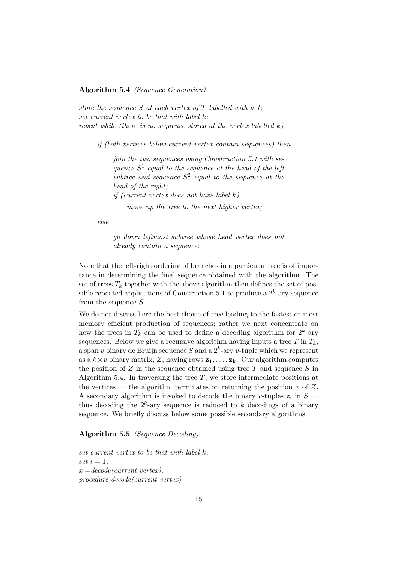#### **Algorithm 5.4** *(Sequence Generation)*

*store the sequence S at each vertex of T labelled with a 1; set current vertex to be that with label k; repeat while (there is no sequence stored at the vertex labelled k)*

*if (both vertices below current vertex contain sequences) then*

*join the two sequences using Construction 5.1 with sequence S* 1 *equal to the sequence at the head of the left subtree and sequence S* 2 *equal to the sequence at the head of the right; if (current vertex does not have label k)*

*move up the tree to the next higher vertex;*

*else*

*go down leftmost subtree whose head vertex does not already contain a sequence;*

Note that the left-right ordering of branches in a particular tree is of importance in determining the final sequence obtained with the algorithm. The set of trees  $T_k$  together with the above algorithm then defines the set of possible repeated applications of Construction 5.1 to produce a 2*<sup>k</sup>* -ary sequence from the sequence *S*.

We do not discuss here the best choice of tree leading to the fastest or most memory efficient production of sequences; rather we next concentrate on how the trees in  $T_k$  can be used to define a decoding algorithm for  $2^k$  ary sequences. Below we give a recursive algorithm having inputs a tree  $T$  in  $T_k$ , a span *v* binary de Bruijn sequence *S* and a 2*<sup>k</sup>* -ary *v*-tuple which we represent as a  $k \times v$  binary matrix, Z, having rows  $z_1, \ldots, z_k$ . Our algorithm computes the position of *Z* in the sequence obtained using tree *T* and sequence *S* in Algorithm 5.4. In traversing the tree *T*, we store intermediate positions at the vertices — the algorithm terminates on returning the position  $x$  of  $Z$ . A secondary algorithm is invoked to decode the binary *v*-tuples  $z_i$  in  $S$ thus decoding the  $2^k$ -ary sequence is reduced to  $k$  decodings of a binary sequence. We briefly discuss below some possible secondary algorithms.

#### **Algorithm 5.5** *(Sequence Decoding)*

*set current vertex to be that with label k;*  $set i = 1;$ *x* =*decode(current vertex); procedure decode(current vertex)*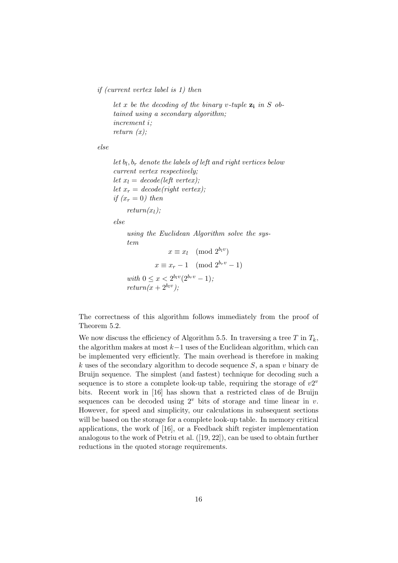#### *if (current vertex label is 1) then*

*let x be the decoding of the binary v-tuple* **z<sup>i</sup>** *in S obtained using a secondary algorithm; increment i; return (x);*

*else*

*let b<sup>l</sup> , b<sup>r</sup> denote the labels of left and right vertices below current vertex respectively; let*  $x_l = decode(left \ vertex);$ *let*  $x_r = decode(right vertex)$ ; *if*  $(x_r = 0)$  *then* 

 $return(x<sub>l</sub>)$ ;

*else*

*using the Euclidean Algorithm solve the system*

```
x \equiv x_l \pmod{2^{b_l v}}x \equiv x_r - 1 \pmod{2^{b_r v} - 1}with \ 0 \leq x < 2^{b_l v} (2^{b_r v} - 1);return(x+2^{b_l}y);
```
The correctness of this algorithm follows immediately from the proof of Theorem 5.2.

We now discuss the efficiency of Algorithm 5.5. In traversing a tree  $T$  in  $T_k$ , the algorithm makes at most *k−*1 uses of the Euclidean algorithm, which can be implemented very efficiently. The main overhead is therefore in making *k* uses of the secondary algorithm to decode sequence *S*, a span *v* binary de Bruijn sequence. The simplest (and fastest) technique for decoding such a sequence is to store a complete look-up table, requiring the storage of  $v2^v$ bits. Recent work in [16] has shown that a restricted class of de Bruijn sequences can be decoded using  $2^v$  bits of storage and time linear in  $v$ . However, for speed and simplicity, our calculations in subsequent sections will be based on the storage for a complete look-up table. In memory critical applications, the work of [16], or a Feedback shift register implementation analogous to the work of Petriu et al. ([19, 22]), can be used to obtain further reductions in the quoted storage requirements.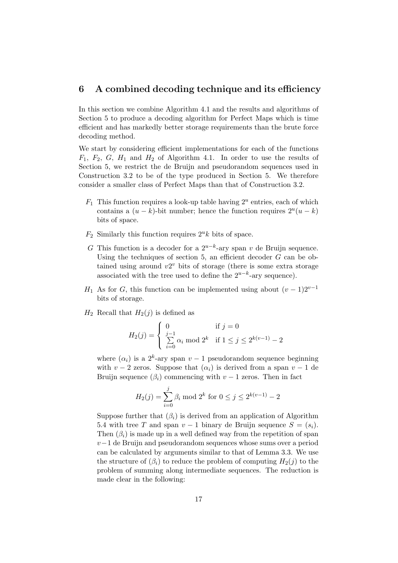### **6 A combined decoding technique and its efficiency**

In this section we combine Algorithm 4.1 and the results and algorithms of Section 5 to produce a decoding algorithm for Perfect Maps which is time efficient and has markedly better storage requirements than the brute force decoding method.

We start by considering efficient implementations for each of the functions  $F_1$ ,  $F_2$ ,  $G$ ,  $H_1$  and  $H_2$  of Algorithm 4.1. In order to use the results of Section 5, we restrict the de Bruijn and pseudorandom sequences used in Construction 3.2 to be of the type produced in Section 5. We therefore consider a smaller class of Perfect Maps than that of Construction 3.2.

- $F_1$  This function requires a look-up table having  $2^u$  entries, each of which contains a  $(u - k)$ -bit number; hence the function requires  $2^u(u - k)$ bits of space.
- $F_2$  Similarly this function requires  $2^u k$  bits of space.
- *G* This function is a decoder for a 2*u−<sup>k</sup>* -ary span *v* de Bruijn sequence. Using the techniques of section 5, an efficient decoder *G* can be obtained using around  $v2^v$  bits of storage (there is some extra storage associated with the tree used to define the  $2^{u-k}$ -ary sequence).
- *H*<sub>1</sub> As for *G*, this function can be implemented using about  $(v-1)2^{v-1}$ bits of storage.
- $H_2$  Recall that  $H_2(j)$  is defined as

$$
H_2(j) = \begin{cases} 0 & \text{if } j = 0\\ \sum_{i=0}^{j-1} \alpha_i \text{ mod } 2^k & \text{if } 1 \le j \le 2^{k(v-1)} - 2 \end{cases}
$$

where  $(\alpha_i)$  is a 2<sup>k</sup>-ary span  $v-1$  pseudorandom sequence beginning with  $v - 2$  zeros. Suppose that  $(\alpha_i)$  is derived from a span  $v - 1$  de Bruijn sequence  $(\beta_i)$  commencing with  $v-1$  zeros. Then in fact

$$
H_2(j) = \sum_{i=0}^{j} \beta_i \text{ mod } 2^k \text{ for } 0 \le j \le 2^{k(v-1)} - 2
$$

Suppose further that  $(\beta_i)$  is derived from an application of Algorithm 5.4 with tree *T* and span  $v-1$  binary de Bruijn sequence  $S = (s_i)$ . Then  $(\beta_i)$  is made up in a well defined way from the repetition of span *v*<sup>−1</sup> de Bruijn and pseudorandom sequences whose sums over a period can be calculated by arguments similar to that of Lemma 3.3. We use the structure of  $(\beta_i)$  to reduce the problem of computing  $H_2(j)$  to the problem of summing along intermediate sequences. The reduction is made clear in the following: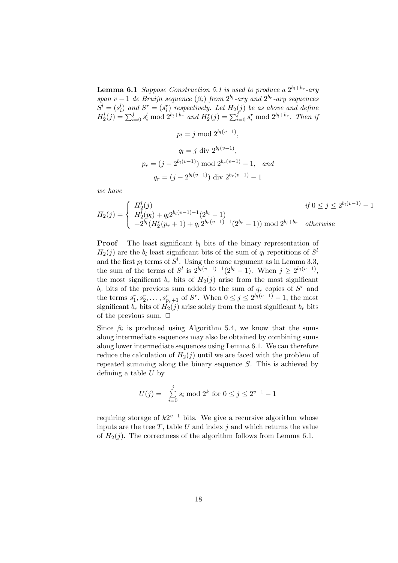**Lemma 6.1** *Suppose Construction 5.1 is used to produce a*  $2^{b_l + b_r}$ -ary *span*  $v - 1$  *de Bruijn sequence*  $(\beta_i)$  *from*  $2^{b_l}$ *-ary and*  $2^{b_r}$ *-ary sequences*  $S^l = (s_i^l)$  and  $S^r = (s_i^r)$  respectively. Let  $H_2(j)$  be as above and define  $H_2^l(j) = \sum_{i=0}^j s_i^l \bmod 2^{b_l+b_r}$  and  $H_2^r(j) = \sum_{i=0}^j s_i^r \bmod 2^{b_l+b_r}$ . Then if

$$
p_l = j \mod 2^{b_l(v-1)},
$$
  
\n
$$
q_l = j \text{ div } 2^{b_l(v-1)},
$$
  
\n
$$
p_r = (j - 2^{b_l(v-1)}) \mod 2^{b_r(v-1)} - 1, \text{ and}
$$
  
\n
$$
q_r = (j - 2^{b_l(v-1)}) \text{ div } 2^{b_r(v-1)} - 1
$$

*we have*

$$
H_2(j) = \begin{cases} H_2^l(j) & \text{if } 0 \le j \le 2^{b_l(v-1)} - 1 \\ H_2^l(p_l) + q_l 2^{b_l(v-1)-1}(2^{b_l} - 1) \\ + 2^{b_l}(H_2^r(p_r+1) + q_r 2^{b_r(v-1)-1}(2^{b_r} - 1)) \bmod 2^{b_l + b_r} & \text{otherwise} \end{cases}
$$

**Proof** The least significant  $b_l$  bits of the binary representation of  $H_2(j)$  are the *b*<sup>*l*</sup> least significant bits of the sum of *q*<sup>*l*</sup> repetitions of *S*<sup>*l*</sup> and the first  $p_l$  terms of  $S^l$ . Using the same argument as in Lemma 3.3, the sum of the terms of  $S^l$  is  $2^{b_l(v-1)-1}(2^{b_l}-1)$ . When  $j \geq 2^{b_l(v-1)}$ , the most significant  $b_r$  bits of  $H_2(j)$  arise from the most significant *b<sup>r</sup>* bits of the previous sum added to the sum of *q<sup>r</sup>* copies of *S <sup>r</sup>* and the terms  $s_1^r, s_2^r, \ldots, s_{p_r+1}^r$  of *S*<sup>*r*</sup>. When  $0 \le j \le 2^{b_l(v-1)} - 1$ , the most significant  $b_r$  bits of  $H_2(j)$  arise solely from the most significant  $b_r$  bits of the previous sum.  $\Box$ 

Since  $\beta_i$  is produced using Algorithm 5.4, we know that the sums along intermediate sequences may also be obtained by combining sums along lower intermediate sequences using Lemma 6.1. We can therefore reduce the calculation of  $H_2(j)$  until we are faced with the problem of repeated summing along the binary sequence *S*. This is achieved by defining a table *U* by

$$
U(j) = \sum_{i=0}^{j} s_i \bmod 2^k \text{ for } 0 \le j \le 2^{v-1} - 1
$$

requiring storage of  $k2^{v-1}$  bits. We give a recursive algorithm whose inputs are the tree  $T$ , table  $U$  and index  $j$  and which returns the value of  $H_2(j)$ . The correctness of the algorithm follows from Lemma 6.1.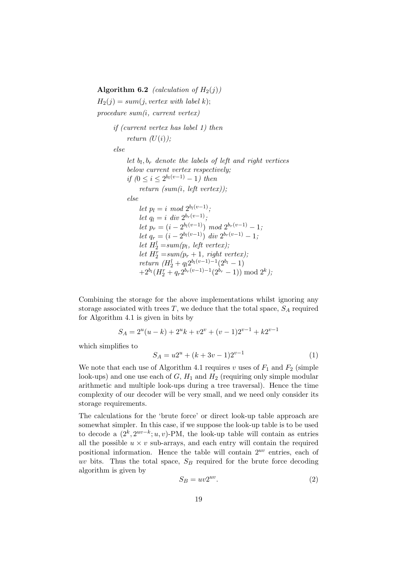**Algorithm 6.2** *(calculation of*  $H_2(j)$ )

 $H_2(j) = sum(j, vertex with label k);$ *procedure sum(i, current vertex)*

*if (current vertex has label 1) then*

*return*  $(U(i))$ ;

*else*

*let b<sup>l</sup> , b<sup>r</sup> denote the labels of left and right vertices below current vertex respectively; if*  $(0 \le i \le 2^{b_l(v-1)} - 1)$  *then return (sum(i, left vertex)); else let*  $p_l = i \mod 2^{b_l(v-1)}$ ; *let*  $q_l = i \ div 2^{b_r(v-1)}$ ;  $let p_r = (i - 2^{b_l(v-1)}) \mod 2^{b_r(v-1)} - 1;$ *let*  $q_r = (i - 2^{b_l(v-1)})$  *div*  $2^{b_r(v-1)} - 1$ ; *let*  $H_2^l = \text{sum}(p_l, \text{ left vertex});$ *let*  $H_2^r = \text{sum}(p_r + 1, \text{ right vertex})$ ; *return*  $(H_2^l + q_l 2^{b_l(v-1)-1}(2^{b_l} - 1))$  $+2^{b_l}(H_2^r + q_r 2^{b_r(v-1)-1}(2^{b_r}-1)) \mod 2^k$ 

Combining the storage for the above implementations whilst ignoring any storage associated with trees  $T$ , we deduce that the total space,  $S_A$  required for Algorithm 4.1 is given in bits by

$$
S_A = 2^{u}(u-k) + 2^{u}k + v2^{v} + (v-1)2^{v-1} + k2^{v-1}
$$

which simplifies to

$$
S_A = u2^u + (k + 3v - 1)2^{v-1}
$$
 (1)

We note that each use of Algorithm 4.1 requires  $v$  uses of  $F_1$  and  $F_2$  (simple look-ups) and one use each of  $G$ ,  $H_1$  and  $H_2$  (requiring only simple modular arithmetic and multiple look-ups during a tree traversal). Hence the time complexity of our decoder will be very small, and we need only consider its storage requirements.

The calculations for the 'brute force' or direct look-up table approach are somewhat simpler. In this case, if we suppose the look-up table is to be used to decode a  $(2^k, 2^{uv-k}; u, v)$ -PM, the look-up table will contain as entries all the possible  $u \times v$  sub-arrays, and each entry will contain the required positional information. Hence the table will contain 2*uv* entries, each of *uv* bits. Thus the total space,  $S_B$  required for the brute force decoding algorithm is given by

$$
S_B = uv2^{uv}.\t\t(2)
$$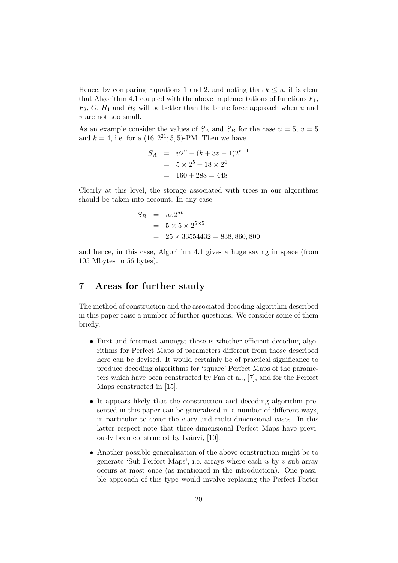Hence, by comparing Equations 1 and 2, and noting that  $k \leq u$ , it is clear that Algorithm 4.1 coupled with the above implementations of functions  $F_1$ ,  $F_2, G, H_1$  and  $H_2$  will be better than the brute force approach when *u* and *v* are not too small.

As an example consider the values of  $S_A$  and  $S_B$  for the case  $u = 5$ ,  $v = 5$ and  $k = 4$ , i.e. for a  $(16, 2^{21}; 5, 5)$ -PM. Then we have

$$
S_A = u2^u + (k + 3v - 1)2^{v-1}
$$
  
= 5 × 2<sup>5</sup> + 18 × 2<sup>4</sup>  
= 160 + 288 = 448

Clearly at this level, the storage associated with trees in our algorithms should be taken into account. In any case

$$
S_B = uv2^{uv}
$$
  
= 5 × 5 × 2<sup>5×5</sup>  
= 25 × 33554432 = 838,860,800

and hence, in this case, Algorithm 4.1 gives a huge saving in space (from 105 Mbytes to 56 bytes).

# **7 Areas for further study**

The method of construction and the associated decoding algorithm described in this paper raise a number of further questions. We consider some of them briefly.

- First and foremost amongst these is whether efficient decoding algorithms for Perfect Maps of parameters different from those described here can be devised. It would certainly be of practical significance to produce decoding algorithms for 'square' Perfect Maps of the parameters which have been constructed by Fan et al., [7], and for the Perfect Maps constructed in [15].
- It appears likely that the construction and decoding algorithm presented in this paper can be generalised in a number of different ways, in particular to cover the *c*-ary and multi-dimensional cases. In this latter respect note that three-dimensional Perfect Maps have previously been constructed by Iványi, [10].
- *•* Another possible generalisation of the above construction might be to generate 'Sub-Perfect Maps', i.e. arrays where each *u* by *v* sub-array occurs at most once (as mentioned in the introduction). One possible approach of this type would involve replacing the Perfect Factor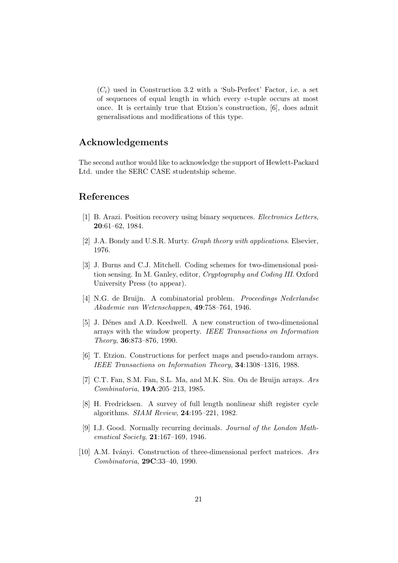$(C_i)$  used in Construction 3.2 with a 'Sub-Perfect' Factor, i.e. a set of sequences of equal length in which every *v*-tuple occurs at most once. It is certainly true that Etzion's construction, [6], does admit generalisations and modifications of this type.

### **Acknowledgements**

The second author would like to acknowledge the support of Hewlett-Packard Ltd. under the SERC CASE studentship scheme.

### **References**

- [1] B. Arazi. Position recovery using binary sequences. *Electronics Letters*, **20**:61–62, 1984.
- [2] J.A. Bondy and U.S.R. Murty. *Graph theory with applications*. Elsevier, 1976.
- [3] J. Burns and C.J. Mitchell. Coding schemes for two-dimensional position sensing. In M. Ganley, editor, *Cryptography and Coding III*. Oxford University Press (to appear).
- [4] N.G. de Bruijn. A combinatorial problem. *Proceedings Nederlandse Akademie van Wetenschappen*, **49**:758–764, 1946.
- [5] J. Dénes and A.D. Keedwell. A new construction of two-dimensional arrays with the window property. *IEEE Transactions on Information Theory*, **36**:873–876, 1990.
- [6] T. Etzion. Constructions for perfect maps and pseudo-random arrays. *IEEE Transactions on Information Theory*, **34**:1308–1316, 1988.
- [7] C.T. Fan, S.M. Fan, S.L. Ma, and M.K. Siu. On de Bruijn arrays. *Ars Combinatoria*, **19A**:205–213, 1985.
- [8] H. Fredricksen. A survey of full length nonlinear shift register cycle algorithms. *SIAM Review*, **24**:195–221, 1982.
- [9] I.J. Good. Normally recurring decimals. *Journal of the London Mathematical Society*, **21**:167–169, 1946.
- [10] A.M. Iványi. Construction of three-dimensional perfect matrices. *Ars Combinatoria*, **29C**:33–40, 1990.